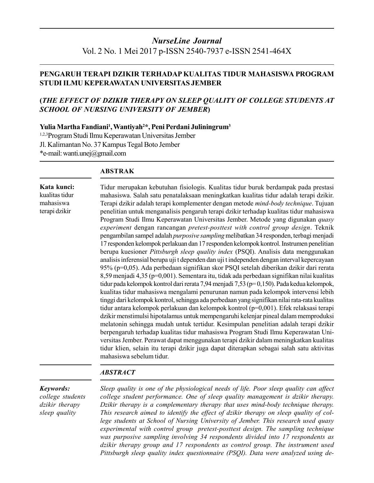# **NurseLine Journal** Vol. 2 No. 1 Mei 2017 p-ISSN 2540-7937 e-ISSN 2541-464X

# PENGARUH TERAPI DZIKIR TERHADAP KUALITAS TIDUR MAHASISWA PROGRAM STUDI ILMU KEPERAWATAN UNIVERSITAS JEMBER

# (THE EFFECT OF DZIKIR THERAPY ON SLEEP QUALITY OF COLLEGE STUDENTS AT **SCHOOL OF NURSING UNIVERSITY OF JEMBER)**

### Yulia Martha Fandiani<sup>1</sup>, Wantiyah<sup>2\*</sup>, Peni Perdani Juliningrum<sup>3</sup>

1,2,3 Program Studi Ilmu Keperawatan Universitas Jember Jl. Kalimantan No. 37 Kampus Tegal Boto Jember \*e-mail: wanti.unej@gmail.com

# **ABSTRAK**

#### Kata kunci:

kualitas tidur mahasiswa terapi dzikir

Tidur merupakan kebutuhan fisiologis. Kualitas tidur buruk berdampak pada prestasi mahasiswa. Salah satu penatalaksaan meningkatkan kualitas tidur adalah terapi dzikir. Terapi dzikir adalah terapi komplementer dengan metode mind-body technique. Tujuan penelitian untuk menganalisis pengaruh terapi dzikir terhadap kualitas tidur mahasiswa Program Studi Ilmu Keperawatan Universitas Jember. Metode yang digunakan quasy experiment dengan rancangan pretest-posttest with control group design. Teknik pengambilan sampel adalah purposive sampling melibatkan 34 responden, terbagi menjadi 17 responden kelompok perlakuan dan 17 responden kelompok kontrol. Instrumen penelitian berupa kuesioner Pittsburgh sleep quality index (PSQI). Analisis data menggunakan analisis inferensial berupa uji t dependen dan uji t independen dengan interval kepercayaan 95% (p=0,05). Ada perbedaan signifikan skor PSQI setelah diberikan dzikir dari rerata 8,59 menjadi 4,35 (p=0,001). Sementara itu, tidak ada perbedaan signifikan nilai kualitas tidur pada kelompok kontrol dari rerata 7,94 menjadi 7,53 (p=0,150). Pada kedua kelompok, kualitas tidur mahasiswa mengalami penurunan namun pada kelompok intervensi lebih tinggi dari kelompok kontrol, sehingga ada perbedaan yang signifikan nilai rata-rata kualitas tidur antara kelompok perlakuan dan kelompok kontrol (p=0,001). Efek relaksasi terapi dzikir menstimulsi hipotalamus untuk mempengaruhi kelenjar pineal dalam memproduksi melatonin sehingga mudah untuk tertidur. Kesimpulan penelitian adalah terapi dzikir berpengaruh terhadap kualitas tidur mahasiswa Program Studi Ilmu Keperawatan Universitas Jember. Perawat dapat menggunakan terapi dzikir dalam meningkatkan kualitas tidur klien, selain itu terapi dzikir juga dapat diterapkan sebagai salah satu aktivitas mahasiswa sebelum tidur.

## **ABSTRACT**

#### Keywords:

college students dzikir therapy sleep quality

Sleep quality is one of the physiological needs of life. Poor sleep quality can affect college student performance. One of sleep quality management is dzikir therapy. Dzikir therapy is a complementary therapy that uses mind-body technique therapy. This research aimed to identify the effect of dzikir therapy on sleep quality of college students at School of Nursing University of Jember. This research used quasy experimental with control group pretest-posttest design. The sampling technique was purposive sampling involving 34 respondents divided into 17 respondents as dzikir therapy group and 17 respondents as control group. The instrument used Pittsburgh sleep quality index questionnaire (PSQI). Data were analyzed using de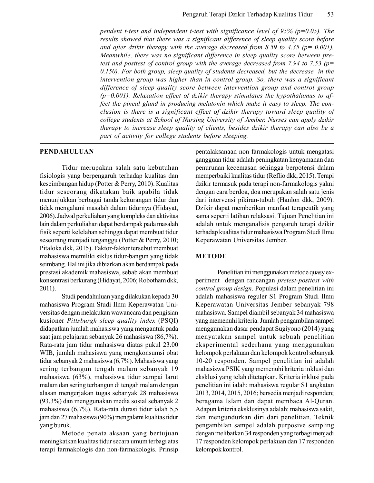pendent t-test and independent t-test with significance level of 95% ( $p=0.05$ ). The results showed that there was a significant difference of sleep quality score before and after dzikir therapy with the average decreased from 8.59 to 4.35 ( $p = 0.001$ ). Meanwhile, there was no significant difference in sleep quality score between pretest and posttest of control group with the average decreased from 7.94 to 7.53 ( $p=$  $0.150$ ). For both group, sleep quality of students decreased, but the decrease in the intervention group was higher than in control group. So, there was a significant difference of sleep quality score between intervention group and control group  $(p=0.001)$ . Relaxation effect of dzikir therapy stimulates the hypothalamus to affect the pineal gland in producing melatonin which make it easy to sleep. The conclusion is there is a significant effect of dzikir therapy toward sleep quality of college students at School of Nursing University of Jember. Nurses can apply dzikir therapy to increase sleep quality of clients, besides dzikir therapy can also be a part of activity for college students before sleeping.

#### **PENDAHULUAN**

Tidur merupakan salah satu kebutuhan fisiologis yang berpengaruh terhadap kualitas dan keseimbangan hidup (Potter & Perry, 2010). Kualitas tidur seseorang dikatakan baik apabila tidak menunjukkan berbagai tanda kekurangan tidur dan tidak mengalami masalah dalam tidurnya (Hidayat, 2006). Jadwal perkuliahan yang kompleks dan aktivitas lain dalam perkuliahan dapat berdampak pada masalah fisik seperti kelelahan sehingga dapat membuat tidur seseorang menjadi terganggu (Potter & Perry, 2010; Pitaloka dkk, 2015). Faktor-faktor tersebut membuat mahasiswa memiliki siklus tidur-bangun yang tidak seimbang. Hal ini jika dibiarkan akan berdampak pada prestasi akademik mahasiswa, sebab akan membuat konsentrasi berkurang (Hidayat, 2006; Robotham dkk, 2011).

Studi pendahuluan yang dilakukan kepada 30 mahasiswa Program Studi Ilmu Keperawatan Universitas dengan melakukan wawancara dan pengisian kusioner Pittsburgh sleep quality index (PSQI) didapatkan jumlah mahasiswa yang mengantuk pada saat jam pelajaran sebanyak 26 mahasiswa (86,7%). Rata-rata jam tidur mahasiswa diatas pukul 23.00 WIB, jumlah mahasiswa yang mengkonsumsi obat tidur sebanyak 2 mahasiswa (6,7%). Mahasiswa yang sering terbangun tengah malam sebanyak 19 mahasiswa (63%), mahasiswa tidur sampai larut malam dan sering terbangun di tengah malam dengan alasan mengerjakan tugas sebanyak 28 mahasiswa (93,3%) dan menggunakan media sosial sebanyak 2 mahasiswa (6,7%). Rata-rata durasi tidur ialah 5,5 jam dan 27 mahasiswa (90%) mengalami kualitas tidur yang buruk.

Metode penatalaksaan yang bertujuan meningkatkan kualitas tidur secara umum terbagi atas terapi farmakologis dan non-farmakologis. Prinsip pentalaksanaan non farmakologis untuk mengatasi gangguan tidur adalah peningkatan kenyamanan dan penurunan kecemasan sehingga berpotensi dalam memperbaiki kualitas tidur (Reflio dkk, 2015). Terapi dzikir termasuk pada terapi non-farmakologis yakni dengan cara berdoa, doa merupakan salah satu jenis dari intervensi pikiran-tubuh (Hanlon dkk, 2009). Dzikir dapat memberikan manfaat terapeutik yang sama seperti latihan relaksasi. Tujuan Penelitian ini adalah untuk menganalisis pengaruh terapi dzikir terhadap kualitas tidur mahasiswa Program Studi Ilmu Keperawatan Universitas Jember.

#### **METODE**

Penelitian ini menggunakan metode quasy experiment dengan rancangan *pretest-posttest* with control group design. Populasi dalam penelitian ini adalah mahasiswa reguler S1 Program Studi Ilmu Keperawatan Universitas Jember sebanyak 798 mahasiswa. Sampel diambil sebanyak 34 mahasiswa yang memenuhi kriteria. Jumlah pengambilan sampel menggunakan dasar pendapat Sugiyono (2014) yang menyatakan sampel untuk sebuah penelitian eksperimental sederhana yang menggunakan kelompok perlakuan dan kelompok kontrol sebanyak 10-20 responden. Sampel penelitian ini adalah mahasiswa PSIK yang memenuhi kriteria inklusi dan eksklusi yang telah ditetapkan. Kriteria inklusi pada penelitian ini ialah: mahasiswa regular S1 angkatan 2013, 2014, 2015, 2016; bersedia menjadi responden; beragama Islam dan dapat membaca Al-Quran. Adapun kriteria eksklusinya adalah: mahasiswa sakit, dan mengundurkan diri dari penelitian. Teknik pengambilan sampel adalah purposive sampling dengan melibatkan 34 responden yang terbagi menjadi 17 responden kelompok perlakuan dan 17 responden kelompok kontrol.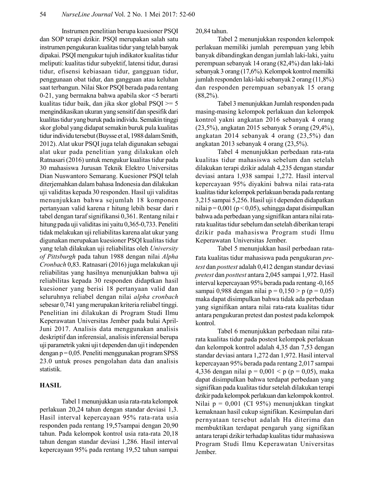Instrumen penelitian berupa kuesioner PSQI dan SOP terapi dzikir. PSQI merupakan salah satu instrumen pengukuran kualitas tidur yang telah banyak dipakai. PSQI mengukur tujuh indikator kualitas tidur meliputi: kualitas tidur subyektif, latensi tidur, durasi tidur, efisensi kebiasaan tidur, gangguan tidur, penggunaan obat tidur, dan gangguan atau keluhan saat terbangun. Nilai Skor PSQI berada pada rentang 0-21, yang bermakna bahwa apabila skor <5 berarti kualitas tidur baik, dan jika skor global  $PSQI \geq 5$ mengindikasikan ukuran yang sensitif dan spesifik dari kualitas tidur yang buruk pada individu. Semakin tinggi skor global yang didapat semakin buruk pula kualitas tidur individu tersebut (Buysse et al, 1988 dalam Smith, 2012). Alat ukur PSQI juga telah digunakan sebagai alat ukur pada penelitian yang dilakukan oleh Ratnasari (2016) untuk mengukur kualitas tidur pada 30 mahasiswa Jurusan Teknik Elektro Universitas Dian Nuswantoro Semarang. Kuesioner PSQI telah diterjemahkan dalam bahasa Indonesia dan dilakukan uji validitas kepada 30 responden. Hasil uji validitas menunjukkan bahwa sejumlah 18 komponen pertanyaan valid karena r hitung lebih besar dari r tabel dengan taraf signifikansi 0,361. Rentang nilai r hitung pada uji validitas ini yaitu 0,365-0,733. Peneliti tidak melakukan uji reliabilitas karena alat ukur yang digunakan merupakan kuesioner PSQI kualitas tidur yang telah dilakukan uji reliabilitas oleh University of Pittsburgh pada tahun 1988 dengan nilai Alpha Cronbach 0,83. Ratnasari (2016) juga melakukan uji reliabilitas yang hasilnya menunjukkan bahwa uji reliabilitas kepada 30 responden didaptkan hasil kuesioner yang berisi 18 pertanyaan valid dan seluruhnya reliabel dengan nilai alpha cronbach sebesar 0,741 yang merupakan kriteria reliabel tinggi. Penelitian ini dilakukan di Program Studi Ilmu Keperawatan Universitas Jember pada bulai April-Juni 2017. Analisis data menggunakan analisis deskriptif dan inferensial, analisis inferensial berupa uji parametrik yakni uji t dependen dan uji t independen  $\alpha$ engan p = 0,05. Peneliti menggunakan program SPSS 23.0 untuk proses pengolahan data dan analisis statistik.

## **HASIL**

Tabel 1 menunjukkan usia rata-rata kelompok perlakuan 20,24 tahun dengan standar deviasi 1,3. Hasil interval kepercayaan 95% rata-rata usia responden pada rentang 19,57sampai dengan 20,90 tahun. Pada kelompok kontrol usia rata-rata 20,18 tahun dengan standar deviasi 1,286. Hasil interval kepercayaan 95% pada rentang 19,52 tahun sampai

20,84 tahun.

Tabel 2 menunjukkan responden kelompok perlakuan memiliki jumlah perempuan yang lebih banyak dibandingkan dengan jumlah laki-laki, yaitu perempuan sebanyak 14 orang (82,4%) dan laki-laki sebanyak 3 orang (17,6%). Kelompok kontrol memilki jumlah responden laki-laki sebanyak 2 orang (11,8%) dan responden perempuan sebanyak 15 orang  $(88,2\%)$ .

Tabel 3 menunjukkan Jumlah responden pada masing-masing kelompok perlakuan dan kelompok kontrol yakni angkatan 2016 sebanyak 4 orang (23,5%), angkatan 2015 sebanyak 5 orang (29,4%), angkatan 2014 sebanyak 4 orang (23,5%) dan angkatan 2013 sebanyak 4 orang (23,5%).

Tabel 4 menunjukkan perbedaan rata-rata kualitas tidur mahasiswa sebelum dan setelah dilakukan terapi dzikir adalah 4,235 dengan standar deviasi antara 1,938 sampai 1,272. Hasil interval kepercayaan 95% diyakini bahwa nilai rata-rata kualitas tidur kelompok perlakuan berada pada rentang 3,215 sampai 5,256. Hasil uji t dependen didapatkan nilai p = 0,001 (p < 0,05), sehingga dapat disimpulkan bahwa ada perbedaan yang signifikan antara nilai ratarata kualitas tidur sebelum dan setelah diberikan terapi dzikir pada mahasiswa Program studi Ilmu Keperawatan Universitas Jember.

Tabel 5 menunjukkan hasil perbedaan rata-Tata kualitas tidur mahasiswa pada pengukuran pretest dan posttest adalah 0,412 dengan standar deviasi pretest dan posttest antara 2,045 sampai 1,972. Hasil interval kepercayaan 95% berada pada rentang -0,165 sampai 0,988 dengan nilai p = 0,150 > p (p = 0,05) maka dapat disimpulkan bahwa tidak ada perbedaan yang signifikan antara nilai rata-rata kualitas tidur antara pengukuran pretest dan postest pada kelompok kontrol.

Tabel 6 menunjukkan perbedaan nilai ratarata kualitas tidur pada postest kelompok perlakuan dan kelompok kontrol adalah 4,35 dan 7,53 dengan standar deviasi antara 1,272 dan 1,972. Hasil interval kepercayaan 95% berada pada rentang 2,017 sampai 4,336 dengan nilai p = 0,001 < p (p = 0,05), maka dapat disimpulkan bahwa terdapat perbedaan yang signifikan pada kualitas tidur setelah dilakukan terapi dzikir pada kelompok perlakuan dan kelompok kontrol. Nilai  $p = 0.001$  (CI 95%) menunjukkan tingkat kemaknaan hasil cukup signifikan. Kesimpulan dari pernyataan tersebut adalah Ha diterima dan membuktikan terdapat pengaruh yang signifikan antara terapi dzikir terhadap kualitas tidur mahasiswa Program Studi Ilmu Keperawatan Universitas Jember.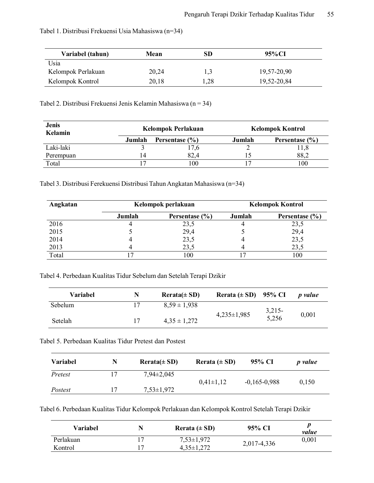| Variabel (tahun)   | Mean  | SD   | 95% CI      |
|--------------------|-------|------|-------------|
| Usia               |       |      |             |
| Kelompok Perlakuan | 20,24 | 1,3  | 19,57-20,90 |
| Kelompok Kontrol   | 20,18 | 1,28 | 19,52-20,84 |

# Tabel 1. Distribusi Frekuensi Usia Mahasiswa (n=34)

Tabel 2. Distribusi Frekuensi Jenis Kelamin Mahasiswa (n = 34)

| <b>Jenis</b><br><b>Kelamin</b> |        | Kelompok Perlakuan | <b>Kelompok Kontrol</b> |                |  |
|--------------------------------|--------|--------------------|-------------------------|----------------|--|
|                                | Jumlah | Persentase (%)     | Jumlah                  | Persentase (%) |  |
| Laki-laki                      |        | 7,6                |                         | l 1,8          |  |
| Perempuan                      | 14     | 82.4               |                         | 88,2           |  |
| Total                          |        | $_{00}$            |                         | 100            |  |

Tabel 3. Distribusi Ferekuensi Distribusi Tahun Angkatan Mahasiswa (n=34)

| Angkatan | Kelompok perlakuan |                    | <b>Kelompok Kontrol</b> |                |  |
|----------|--------------------|--------------------|-------------------------|----------------|--|
|          | Jumlah             | Persentase $(\% )$ | Jumlah                  | Persentase (%) |  |
| 2016     |                    | 23,5               |                         | 23,5           |  |
| 2015     |                    | 29,4               |                         | 29,4           |  |
| 2014     |                    | 23,5               |                         | 23,5           |  |
| 2013     |                    | 23.5               |                         | 23.5           |  |
| Total    |                    | 100                |                         | 100            |  |

Tabel 4. Perbedaan Kualitas Tidur Sebelum dan Setelah Terapi Dzikir

| Variabel | N  | $Rerata(\pm SD)$ | Rerata $(\pm SD)$ 95% CI |                   | <i>p</i> value |
|----------|----|------------------|--------------------------|-------------------|----------------|
| Sebelum  |    | $8.59 \pm 1.938$ |                          | $3,215-$<br>5,256 |                |
| Setelah  | 17 | $4.35 \pm 1.272$ | $4,235\pm1,985$          |                   | 0,001          |

Tabel 5. Perbedaan Kualitas Tidur Pretest dan Postest

| Variabel | N | $Rerata(\pm SD)$ | Rerata $(\pm SD)$ | 95% CI         | <i>p</i> value |
|----------|---|------------------|-------------------|----------------|----------------|
| Pretest  |   | $7.94 \pm 2.045$ |                   |                |                |
|          |   |                  | $0.41 \pm 1.12$   | $-0,165-0,988$ | 0,150          |
| Postest  |   | $7,53\pm1,972$   |                   |                |                |

Tabel 6. Perbedaan Kualitas Tidur Kelompok Perlakuan dan Kelompok Kontrol Setelah Terapi Dzikir

| Variabel  | N | Rerata $(\pm SD)$ | 95% CI      | value |
|-----------|---|-------------------|-------------|-------|
| Perlakuan |   | $7,53\pm1,972$    |             | 0,001 |
| Kontrol   |   | $4.35 \pm 1.272$  | 2,017-4,336 |       |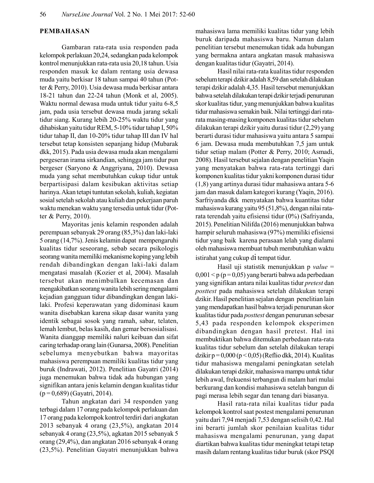# **PEMBAHASAN**

Gambaran rata-rata usia responden pada kelompok perlakuan 20,24, sedangkan pada kelompok kontrol menunjukkan rata-rata usia 20,18 tahun. Usia responden masuk ke dalam rentang usia dewasa muda yaitu berkisar 18 tahun sampai 40 tahun (Potter & Perry, 2010). Usia dewasa muda berkisar antara 18-21 tahun dan 22-24 tahun (Monk et al, 2005). Waktu normal dewasa muda untuk tidur yaitu 6-8,5 jam, pada usia tersebut dewasa muda jarang sekali tidur siang. Kurang lebih 20-25% waktu tidur yang dihabiskan yaitu tidur REM, 5-10% tidur tahap I, 50% tidur tahap II, dan 10-20% tidur tahap III dan IV hal tersebut tetap konsisten sepanjang hidup (Mubarak dkk, 2015). Pada usia dewasa muda akan mengalami pergeseran irama sirkandian, sehingga jam tidur pun bergeser (Saryono & Anggriyana, 2010). Dewasa muda yang sehat membutuhkan cukup tidur untuk berpartisipasi dalam kesibukan aktivitas setiap harinya. Akan tetapi tuntutan sekolah, kuliah, kegiatan sosial setelah sekolah atau kuliah dan pekerjaan paruh waktu menekan waktu yang tersedia untuk tidur (Potter & Perry, 2010).

Mayoritas jenis kelamin responden adalah perempuan sebanyak 29 orang (85,3%) dan laki-laki 5 orang (14,7%). Jenis kelamin dapat mempengaruhi kualitas tidur seseorang, sebab secara psikologis seorang wanita memiliki mekanisme koping yang lebih rendah dibandingkan dengan laki-laki dalam mengatasi masalah (Kozier et al, 2004). Masalah tersebut akan menimbulkan kecemasan dan mengakibatkan seorang wanita lebih sering mengalami kejadian gangguan tidur dibandingkan dengan lakilaki. Profesi keperawatan yang didominasi kaum wanita disebabkan karena sikap dasar wanita yang identik sebagai sosok yang ramah, sabar, telaten, lemah lembut, belas kasih, dan gemar bersosialisasi. Wanita dianggap memiliki naluri keibuan dan sifat caring terhadap orang lain (Gunarsa, 2008). Penelitian sebelumya menyebutkan bahwa mayoritas mahasiswa perempuan memiliki kualitas tidur yang buruk (Indrawati, 2012). Penelitian Gayatri (2014) juga menemukan bahwa tidak ada hubungan yang signifikan antara jenis kelamin dengan kualitas tidur  $(p=0.689)$  (Gayatri, 2014).

Tahun angkatan dari 34 responden yang terbagi dalam 17 orang pada kelompok perlakuan dan 17 orang pada kelompok kontrol terdiri dari angkatan 2013 sebanyak 4 orang (23,5%), angkatan 2014 sebanyak 4 orang (23,5%), agkatan 2015 sebanyak 5 orang (29,4%), dan angkatan 2016 sebanyak 4 orang (23,5%). Penelitian Gayatri menunjukkan bahwa mahasiswa lama memiliki kualitas tidur yang lebih buruk daripada mahasiswa baru. Namun dalam penelitian tersebut menemukan tidak ada hubungan yang bermakna antara angkatan masuk mahasiswa dengan kualitas tidur (Gayatri, 2014).

Hasil nilai rata-rata kualitas tidur responden sebelum terapi dzikir adalah 8,59 dan setelah dilakukan terapi dzikir adalah 4,35. Hasil tersebut menunjukkan bahwa setelah dilakukan terapi dzikir terjadi penurunan skor kualitas tidur, yang menunjukkan bahwa kualitas tidur mahasiswa semakin baik. Nilai tertinggi dari ratarata masing-masing komponen kualitas tidur sebelum dilakukan terapi dzikir yaitu durasi tidur (2,29) yang berarti durasi tidur mahasiswa yaitu antara 5 sampai 6 jam. Dewasa muda membutuhkan 7,5 jam untuk tidur setiap malam (Potter & Perry, 2010; Asmadi, 2008). Hasil tersebut sejalan dengan penelitian Yaqin yang menyatakan bahwa rata-rata tertinggi dari komponen kualitas tidur yakni komponen durasi tidur  $(1,8)$  yang artinya durasi tidur mahasiswa antara 5-6 jam dan masuk dalam kategori kurang (Yaqin, 2016). Sarfriyanda dkk menyatakan bahwa kuantitas tidur mahasiswa kurang yaitu 95 (51,8%), dengan nilai ratarata terendah yaitu efisiensi tidur (0%) (Safriyanda, 2015). Penelitian Nilifda (2016) menunjukkan bahwa hampir seluruh mahasiswa (97%) memiliki efisiensi tidur yang baik karena perasaan lelah yang dialami oleh mahasiswa membuat tubuh membutuhkan waktu istirahat yang cukup di tempat tidur.

Hasil uji statistik menunjukkan p value =  $0,001 < p (p=0,05)$  yang berarti bahwa ada perbedaan yang signifikan antara nilai kualitas tidur pretest dan posttest pada mahasiswa setelah dilakukan terapi dzikir. Hasil penelitian sejalan dengan penelitian lain yang mendapatkan hasil bahwa terjadi penurunan skor kualitas tidur pada *posttest* dengan penurunan sebesar 5,43 pada responden kelompok eksperimen dibandingkan dengan hasil pretest. Hal ini membuktikan bahwa ditemukan perbedaan rata-rata kualitas tidur sebelum dan setelah dilakukan terapi dzikir  $p = 0,000 (p < 0,05)$  (Reflio dkk, 2014). Kualitas tidur mahasiswa mengalami peningkatan setelah dilakukan terapi dzikir, mahasiswa mampu untuk tidur lebih awal, frekuensi terbangun di malam hari mulai berkurang dan kondisi mahasiswa setelah bangun di pagi merasa lebih segar dan tenang dari biasanya.

Hasil rata-rata nilai kualitas tidur pada kelompok kontrol saat postest mengalami penurunan yaitu dari 7,94 menjadi 7,53 dengan selisih 0,42. Hal ini berarti jumlah skor penilaian kualitas tidur mahasiswa mengalami penurunan, yang dapat diartikan bahwa kualitas tidur meningkat tetapi tetap masih dalam rentang kualitas tidur buruk (skor PSQI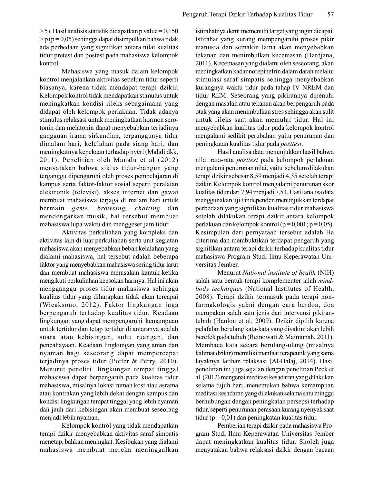$>$  5). Hasil analisis statistik didapatkan p value = 0,150  $> p (p=0.05)$  sehingga dapat disimpulkan bahwa tidak ada perbedaan yang signifikan antara nilai kualitas tidur pretest dan postest pada mahasiswa kelompok kontrol.

Mahasiswa yang masuk dalam kelompok kontrol menjalankan aktivitas sebelum tidur seperti biasanya, karena tidak mendapat terapi dzikir. Kelompok kontrol tidak mendapatkan stimulus untuk meningkatkan kondisi rileks sebagaimana yang didapat oleh kelompok perlakuan. Tidak adanya stimulus relaksasi untuk meningkatkan hormon serotonin dan melatonin dapat menyebabkan terjadinya gangguan irama sirkandian, terganggunya tidur dimalam hari, kelelahan pada siang hari, dan meningkatnya kepekaan terhadap nyeri (Mahdi dkk, 2011). Penelitian oleh Manalu et al (2012) menyatakan bahwa siklus tidur-bangun yang terganggu dipengaruhi oleh proses pembelajaran di kampus serta faktor-faktor sosial seperti peralatan elektronik (televisi), akses internet dan gawai membuat mahasiswa terjaga di malam hari untuk bermain game, browsing, chatting dan mendengarkan musik, hal tersebut membuat mahasiswa lupa waktu dan menggeser jam tidur.

Aktivitas perkuliahan yang kompleks dan aktivitas lain di luar perkuliahan serta unit kegiatan mahasiswa akan menyebabkan beban kelalahan yang dialami mahasiswa, hal tersebut adalah beberapa faktor yang menyebabkan mahasiswa sering tidur larut dan membuat mahasiswa merasakan kantuk ketika mengikuti perkuliahan keesokan harinya. Hal ini akan mengganggu proses tidur mahasiswa sehingga kualitas tidur yang diharapkan tidak akan tercapai (Wicaksono, 2012). Faktor lingkungan juga berpengaruh terhadap kualitas tidur. Keadaan lingkungan yang dapat mempengaruhi kemampuan untuk tertidur dan tetap tertidur di antaranya adalah suara atau kebisingan, suhu ruangan, dan pencahayaan. Keadaan lingkungan yang aman dan nyaman bagi seseorang dapat mempercepat terjadinya proses tidur (Potter & Perry, 2010). Menurut peneliti lingkungan tempat tinggal mahasiswa dapat berpengaruh pada kualitas tidur mahasiswa, misalnya lokasi rumah kost atau asrama atau kontrakan yang lebih dekat dengan kampus dan kondisi lingkungan tempat tinggal yang lebih nyaman dan jauh dari kebisingan akan membuat seseorang menjadi lebih nyaman.

Kelompok kontrol yang tidak mendapatkan terapi dzikir menyebabkan aktivitas saraf simpatis menetap, bahkan meningkat. Kesibukan yang dialami mahasiswa membuat mereka meninggalkan

istirahatnya demi memenuhi target yang ingin dicapai. Istirahat yang kurang mempengaruhi proses pikir manusia dan semakin lama akan menyebabkan tekanan dan menimbulkan kecemasan (Hardjana, 2011). Kecemasan yang dialami oleh seseorang, akan meningkatkan kadar norepinefrin dalam darah melalui stimulasi saraf simpatis sehingga menyebabkan kurangnya waktu tidur pada tahap IV NREM dan tidur REM. Seseorang yang pikirannya dipenuhi dengan masalah atau tekanan akan berpengaruh pada otak yang akan menimbulkan stres sehingga akan sulit untuk rileks saat akan memulai tidur. Hal ini menyebabkan kualitas tidur pada kelompok kontrol mengalami sedikit perubahan yaitu penurunan dan peningkatan kualitas tidur pada posttest.

Hasil analisa data menunjukkan hasil bahwa nilai rata-rata posttest pada kelompok perlakuan mengalami penurunan nilai, yaitu sebelum dilakukan terapi dzikir sebesar 8,59 menjadi 4,35 setelah terapi dzikir. Kelompok kontrol mengalami penurunan skor kualitas tidur dari 7,94 menjadi 7,53. Hasil analisa data menggunakan uji tindependen menunjukkan terdapat perbedaan yang signifikan kualitas tidur mahasiswa setelah dilakukan terapi dzikir antara kelompok perlakuan dan kelompok kontrol (p = 0,001; p = 0,05). Kesimpulan dari pernyataan tersebut adalah Ha diterima dan membuktikan terdapat pengaruh yang signifikan antara terapi dzikir terhadap kualitas tidur mahasiswa Program Studi Ilmu Keperawatan Universitas Jember.

Menurut National institute of health (NIH) salah satu bentuk terapi komplementer ialah mindbody techniques (National Institutes of Health, 2008). Terapi dzikir termasuk pada terapi nonfarmakologis yakni dengan cara berdoa, doa merupakan salah satu jenis dari intervensi pikirantubuh (Hanlon et al, 2009). Dzikir dipilih karena pelafalan berulang kata-kata yang diyakini akan lebih berefek pada tubuh (Retnowati & Maimunah, 2011). Membaca kata secara berulang-ulang (misalnya kalimat dzikir) memiliki manfaat terapeutik yang sama layaknya latihan relaksasi (Al-Halaj, 2014). Hasil penelitian ini juga sejalan dengan penelitian Peck et al. (2012) mengenai meditasi kesadaran yang dilakukan selama tujuh hari, menemukan bahwa kemampuan meditasi kesadaran yang dilakukan selama satu minggu berhubungan dengan peningkatan persepsi terhadap tidur, seperti penurunan perasaan kurang nyenyak saat tidur ( $p = 0.01$ ) dan peningkatan kualitas tidur.

Pemberian terapi dzikir pada mahasiswa Program Studi Ilmu Keperawatan Universitas Jember dapat meningkatkan kualitas tidur. Sholeh juga menyatakan bahwa relaksasi dzikir dengan bacaan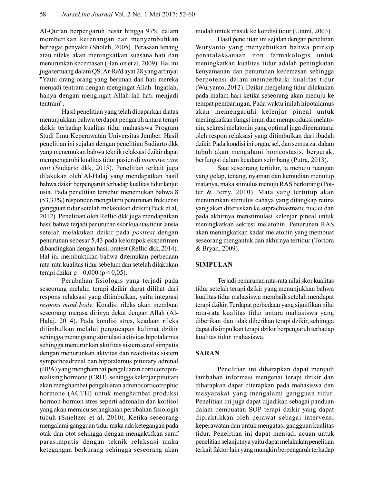Al-Qur'an berpengaruh besar hingga 97% dalam memberikan ketenangan dan menyembuhkan berbagai penyakit (Sholeh, 2005). Perasaan tenang atau rileks akan meningkatkan suasana hati dan menurunkan kecemasan (Hanlon et al, 2009). Hal ini juga tertuang dalam QS. Ar-Ra'd ayat 28 yang artinya: "Yaitu orang-orang yang beriman dan hati mereka menjadi tentram dengan mengingat Allah. Ingatlah, hanya dengan mengingat Allah-lah hati menjadi tentram".

Hasil penelitian yang telah dipaparkan diatas menunjukkan bahwa terdapat pengaruh antara terapi dzikir terhadap kualitas tidur mahasiswa Program Studi Ilmu Keperawatan Universitas Jember. Hasil penelitian ini sejalan dengan penelitian Sudiarto dkk yang menemukan bahwa teknik relaksasi dzikir dapat mempengaruhi kualitas tidur pasien di intensive care unit (Sudiarto dkk, 2015). Penelitian terkait juga dilakukan oleh Al-Halaj yang mendapatkan hasil bahwa dzikir berpengaruh terhadap kualitas tidur lanjut usia. Pada penelitian tersebut menemukan bahwa 8 (53,33%) responden mengalami penurunan frekuensi gangguan tidur setelah melakukan dzikir (Peck et al, 2012). Penelitian oleh Reflio dkk juga mendapatkan hasil bahwa terjadi penurunan skor kualitas tidur lansia setelah melakukan dzikir pada posttest dengan penurunan sebesar 5,43 pada kelompok eksperimen dibandingkan dengan hasil pretest (Reflio dkk, 2014). Hal ini membuktikan bahwa ditemukan perbedaan rata-rata kualitas tidur sebelum dan setelah dilakukan terapi dzikir p = 0,000 (p < 0,05).

Perubahan fisiologis yang terjadi pada seseorang melalui terapi dzikir dapat dilihat dari respons relaksasi yang ditimbulkan, yaitu integrasi respons mind body. Kondisi rileks akan membuat seseorang merasa dirinya dekat dengan Allah (Al-Halaj, 2014). Pada kondisi stres, keadaan rileks ditimbulkan melalui pengucapan kalimat dzikir sehingga merangsang stimulasi aktivitas hipotalamus sehingga menurunkan aktifitas sistem saraf simpatis dengan menurunkan aktvitas dan reaktivitas sistem sympathoadrenal dan hipotalamus pituitary adrenal (HPA) yang menghambat pengeluaran corticotropinrealising hormone (CRH), sehingga kelenjar pituitari akan menghambat pengeluaran adrenocorticotrophic hormone (ACTH) untuk menghambat produksi hormon-hormon stres seperti adrenalin dan kortisol yang akan memicu serangkaian perubahan fisiologis tubuh (Smeltzer et al, 2010). Ketika seseorang mengalami gangguan tidur maka ada ketegangan pada otak dan otot sehingga dengan mengaktifkan saraf parasimpatis dengan teknik relaksasi maka ketegangan berkurang sehingga seseorang akan mudah untuk masuk ke kondisi tidur (Utami, 2003).

Hasil penelitian ini sejalan dengan penelitian Wuryanto yang menyebutkan bahwa prinsip penatalaksanaan non farmakologis untuk meningkatkan kualitas tidur adalah peningkatan kenyamanan dan penurunan kecemasan sehingga berpotensi dalam memperbaiki kualitas tidur (Wuryanto, 2012). Dzikir menjelang tidur dilakukan pada malam hari ketika seseorang akan menuju ke tempat pembaringan. Pada waktu inilah hipotalamus akan memengaruhi kelenjar pineal untuk meningkatkan fungsi imun dan memproduksi melatonin, sekresi melatonin yang optimal juga diperantarai oleh respon relaksasi yang ditimbulkan dari ibadah dzikir. Pada kondisi ini organ, sel, dan semua zat dalam tubuh akan mengalami homeostasis, bergerak, berfungsi dalam keadaan seimbang (Putra, 2013).

Saat seseorang tertidur, ia menuju ruangan yang gelap, tenang, nyaman dan kemudian menutup matanya, maka stimulus menuju RAS berkurang (Potter & Perry, 2010). Mata yang tertutup akan menurunkan stimulus cahaya yang ditangkap retina yang akan diteruskan ke suprachiasmatic nuclei dan pada akhirnya menstimulasi kelenjar pineal untuk meningkatkan sekresi melatonin. Penurunan RAS akan meningkatkan kadar melatonin yang membuat seseorang mengantuk dan akhirnya tertidur (Tortora & Bryan, 2009).

#### **SIMPULAN**

Terjadi penurunan rata-rata nilai skor kualitas tidur setelah terapi dzikir yang menunjukkan bahwa kualitas tidur mahasiswa membaik setelah mendapat terapi dzikir. Terdapat perbedaan yang signifikan nilai rata-rata kualitas tidur antara mahasiswa yang diberikan dan tidak diberikan terapi dzikir, sehingga dapat disimpulkan terapi dzikir berpengaruh terhadap kualitas tidur mahasiswa.

## **SARAN**

Penelitian ini diharapkan dapat menjadi tambahan informasi mengenai terapi dzikir dan diharapkan dapat diterapkan pada mahasiswa dan masyarakat yang mengalami gangguan tidur. Penelitian ini juga dapat dijadikan sebagai panduan dalam pembuatan SOP terapi dzikir yang dapat dipraktikkan oleh perawat sebagai intervensi keperawatan dan untuk mengatasi gangguan kualitas tidur. Penelitian ini dapat menjadi acuan untuk penelitian selanjutnya yaitu dapat melakukan penelitian terkait faktor lain yang mungkin berpengaruh terhadap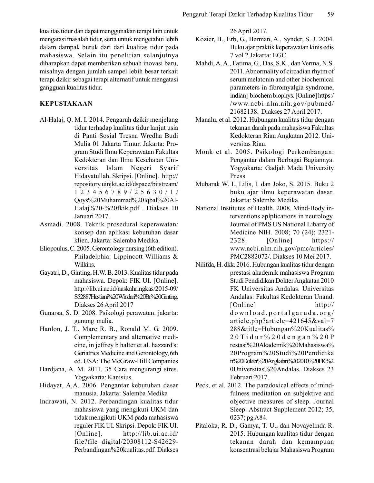kualitas tidur dan dapat menggunakan terapi lain untuk mengatasi masalah tidur, serta untuk mengetahui lebih dalam dampak buruk dari dari kualitas tidur pada mahasiswa. Selain itu penelitian selanjutnya diharapkan dapat memberikan sebuah inovasi baru, misalnya dengan jumlah sampel lebih besar terkait terapi dzikir sebagai terapi alternatif untuk mengatasi gangguan kualitas tidur.

# **KEPUSTAKAAN**

- Al-Halaj, Q. M. I. 2014. Pengaruh dzikir menjelang tidur terhadap kualitas tidur lanjut usia di Panti Sosial Tresna Wredha Budi Mulia 01 Jakarta Timur Jakarta: Program Studi Ilmu Keperawatan Fakultas Kedokteran dan Ilmu Kesehatan Universitas Islam Negeri Syarif Hidayatullah. Skripsi. [Online]. http:// repository.uinjkt.ac.id/dspace/bitstream/  $1 2 3 4 5 6 7 8 9 / 2 5 6 3 0 / 1 /$ Qoys%20Muhammad%20Iqbal%20Al-Halaj%20-%20fkik.pdf . Diakses 10 Januari 2017.
- Asmadi. 2008. Teknik prosedural keperawatan: konsep dan aplikasi kebutuhan dasar klien. Jakarta: Salemba Medika.
- Eliopoulus, C. 2005. Gerontology nursing (6th edition). Philadelphia: Lippincott Williams & Wilkins.
- Gayatri, D., Ginting, H.W. B. 2013. Kualitas tidur pada mahasiswa. Depok: FIK UI. [Online]. http://lib.ui.ac.id/naskahringkas/2015-09/ S52887Hestiani%20Windari%20Br%20Ginting Diakses 26 April 2017
- Gunarsa, S. D. 2008. Psikologi perawatan. jakarta: gunung mulia.
- Hanlon, J. T., Marc R. B., Ronald M. G. 2009. Complementary and alternative medicine, in jeffrey b halter et al. hazzard's: Geriatrics Medicine and Gerontology, 6th ed. USA: The McGraw-Hill Companies
- Hardjana, A. M. 2011. 35 Cara mengurangi stres. Yogyakarta: Kanisius.
- Hidayat, A.A. 2006. Pengantar kebutuhan dasar manusia. Jakarta: Salemba Medika
- Indrawati, N. 2012. Perbandingan kualitas tidur mahasiswa yang mengikuti UKM dan tidak mengikuti UKM pada mahasiswa reguler FIK UI. Skripsi. Depok: FIK UI. [Online].  $http://lib.ui.ac.id/$ file?file=digital/20308112-S42629-Perbandingan%20kualitas.pdf. Diakses

26 April 2017.

- Kozier, B., Erb, G., Berman, A., Synder, S. J. 2004. Buku ajar praktik keperawatan kinis edis 7 vol 2. Jakarta: EGC.
- Mahdi, A. A., Fatima, G., Das, S.K., dan Verma, N.S. 2011. Abnormality of circadian rhytm of serum melatonin and other biochemical parameters in fibromyalgia syndrome, indian j biochem biophys. [Online] https:/ /www.ncbi.nlm.nih.gov/pubmed/ 21682138. Diakses 27 April 2017.
- Manalu, et al. 2012. Hubungan kualitas tidur dengan tekanan darah pada mahasiswa Fakultas Kedokteran Riau Angkatan 2012. Universitas Riau.
- Monk et al. 2005. Psikologi Perkembangan: Pengantar dalam Berbagai Bagiannya. Yogyakarta: Gadjah Mada University Press
- Mubarak W. I., Lilis, I. dan Joko, S. 2015. Buku 2 buku ajar ilmu keperawatan dasar. Jakarta: Salemba Medika.
- National Institutes of Health. 2008. Mind-Body interventions aplplications in neurology. Journal of PMS US National Libarry of Medicine NIH. 2008; 70 (24): 2321-2328. [Online]  $https://$ www.ncbi.nlm.nih.gov/pmc/articles/ PMC2882072/. Diakses 10 Mei 2017.
- Nilifda, H. dkk. 2016. Hubungan kualitas tidur dengan prestasi akademik mahasiswa Program Studi Pendidikan Dokter Angkatan 2010 FK Universitas Andalas. Universitas Andalas: Fakultas Kedokteran Unand. [Online]  $http://$ download.portalgaruda.org/ article.php?article=421645&val=7 288&title=Hubungan%20Kualitas%  $20$  T i d u r % 20d e n g a n % 20P restasi%20Akademik%20Mahasiswa% 20Program%20Studi%20Pendidika n%20Dokter%20Angkatan%202010%20FK%2 0Universitas%20Andalas. Diakses 23 Februari 2017.
- Peck, et al. 2012. The paradoxical effects of mindfulness meditation on subjektive and objective measures of sleep. Journal Sleep: Abstract Supplement 2012; 35, 0237; pg A84.
- Pitaloka, R. D., Gamya, T. U., dan Novayelinda R. 2015. Hubungan kualitas tidur dengan tekanan darah dan kemampuan konsentrasi belajar Mahasiswa Program